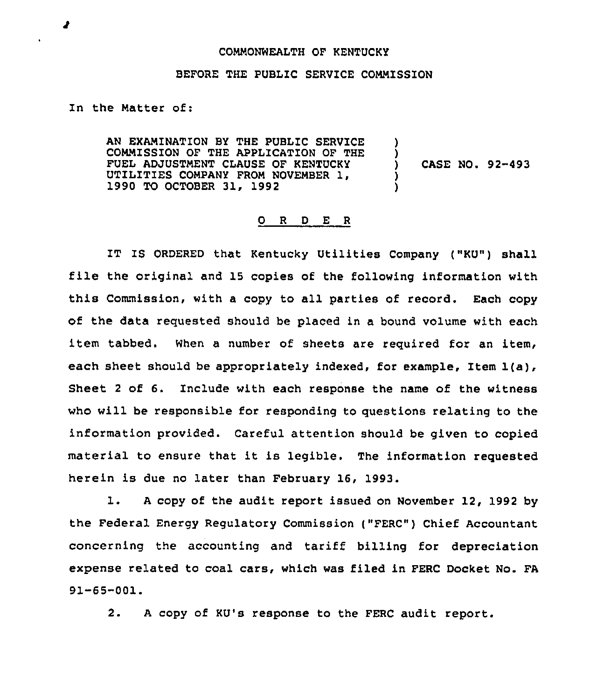## COMMONWEALTH OF KENTUCKY

## BEFORE THE PUBLIC SERVICE COMMISSION

## In the Natter of:

AN EXAMINATION BY THE PUBLIC SERVICE COMMISSION OF THE APPLICATION OF THE FUEL ADJUSTNENT CLAUSE OF KENTUCKY UTILITIES COMPANY FROM NOVEMBER 1, 1990 TO OCTOBER 31, 1992 ) ) ) CASE NO. 92-493 ) )

## 0 <sup>R</sup> <sup>D</sup> E <sup>R</sup>

IT IS ORDERED that Kentucky Utilities Company ("KU") shall file the original and <sup>15</sup> copies of the following information with this Commission, with a copy to all parties of record, Each copy of the data requested should be placed in a bound volume with each item tabbed. When a number of sheets are required for an item, each sheet should be appropriately indexed, for example, Item 1(a), Sheet <sup>2</sup> of 6. Include with each response the name of the witness who will be responsible for responding to questions relating to the information provided. Careful attention should be given to copied material to ensure that it is legible. The information requested herein is due no later than February 16, 1993.

l. <sup>A</sup> copy of the audit report issued on November 12, <sup>1992</sup> by the Federal Energy Regulatory Commission ("FERC") Chief Accountant concerning the accounting and tariff billing for depreciation expense related to coal cars, which was filed in FERC Docket No. FA 91-65-001.

2. <sup>A</sup> copy of KU's response to the FERC audit report.